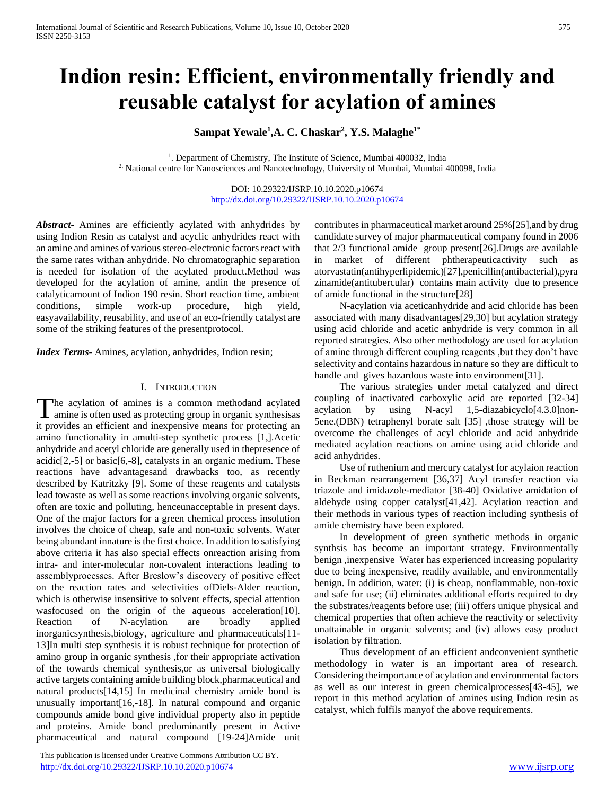# **Indion resin: Efficient, environmentally friendly and reusable catalyst for acylation of amines**

**Sampat Yewale<sup>1</sup> ,A. C. Chaskar<sup>2</sup> , Y.S. Malaghe1\***

<sup>1</sup>. Department of Chemistry, The Institute of Science, Mumbai 400032, India 2. National centre for Nanosciences and Nanotechnology, University of Mumbai, Mumbai 400098, India

> DOI: 10.29322/IJSRP.10.10.2020.p10674 <http://dx.doi.org/10.29322/IJSRP.10.10.2020.p10674>

*Abstract***-** Amines are efficiently acylated with anhydrides by using Indion Resin as catalyst and acyclic anhydrides react with an amine and amines of various stereo-electronic factors react with the same rates withan anhydride. No chromatographic separation is needed for isolation of the acylated product.Method was developed for the acylation of amine, andin the presence of catalyticamount of Indion 190 resin. Short reaction time, ambient conditions, simple work-up procedure, high yield, easyavailability, reusability, and use of an eco-friendly catalyst are some of the striking features of the presentprotocol.

*Index Terms*- Amines, acylation, anhydrides, Indion resin;

# I. INTRODUCTION

he acylation of amines is a common methodand acylated The acylation of amines is a common methodand acylated amine is often used as protecting group in organic synthesisas it provides an efficient and inexpensive means for protecting an amino functionality in amulti-step synthetic process [1,].Acetic anhydride and acetyl chloride are generally used in thepresence of  $\alpha$ cidic[2,-5] or basic[6,-8], catalysts in an organic medium. These reactions have advantagesand drawbacks too, as recently described by Katritzky [9]. Some of these reagents and catalysts lead towaste as well as some reactions involving organic solvents, often are toxic and polluting, henceunacceptable in present days. One of the major factors for a green chemical process insolution involves the choice of cheap, safe and non-toxic solvents. Water being abundant innature is the first choice. In addition to satisfying above criteria it has also special effects onreaction arising from intra- and inter-molecular non-covalent interactions leading to assemblyprocesses. After Breslow's discovery of positive effect on the reaction rates and selectivities ofDiels-Alder reaction, which is otherwise insensitive to solvent effects, special attention wasfocused on the origin of the aqueous acceleration[10]. Reaction of N-acylation are broadly applied inorganicsynthesis,biology, agriculture and pharmaceuticals[11- 13]In multi step synthesis it is robust technique for protection of amino group in organic synthesis ,for their appropriate activation of the towards chemical synthesis,or as universal biologically active targets containing amide building block,pharmaceutical and natural products[14,15] In medicinal chemistry amide bond is unusually important[16,-18]. In natural compound and organic compounds amide bond give individual property also in peptide and proteins. Amide bond predominantly present in Active pharmaceutical and natural compound [19-24]Amide unit

 This publication is licensed under Creative Commons Attribution CC BY. <http://dx.doi.org/10.29322/IJSRP.10.10.2020.p10674> [www.ijsrp.org](http://ijsrp.org/)

contributes in pharmaceutical market around 25%[25],and by drug candidate survey of major pharmaceutical company found in 2006 that 2/3 functional amide group present[26].Drugs are available in market of different phtherapeuticactivity such as atorvastatin(antihyperlipidemic)[27],penicillin(antibacterial),pyra zinamide(antitubercular) contains main activity due to presence of amide functional in the structure[28]

 N-acylation via aceticanhydride and acid chloride has been associated with many disadvantages[29,30] but acylation strategy using acid chloride and acetic anhydride is very common in all reported strategies. Also other methodology are used for acylation of amine through different coupling reagents ,but they don't have selectivity and contains hazardous in nature so they are difficult to handle and gives hazardous waste into environment[31].

 The various strategies under metal catalyzed and direct coupling of inactivated carboxylic acid are reported [32-34] acylation by using N-acyl 1,5-diazabicyclo[4.3.0]non-5ene.(DBN) tetraphenyl borate salt [35] ,those strategy will be overcome the challenges of acyl chloride and acid anhydride mediated acylation reactions on amine using acid chloride and acid anhydrides.

 Use of ruthenium and mercury catalyst for acylaion reaction in Beckman rearrangement [36,37] Acyl transfer reaction via triazole and imidazole-mediator [38-40] Oxidative amidation of aldehyde using copper catalyst[41,42]. Acylation reaction and their methods in various types of reaction including synthesis of amide chemistry have been explored.

 In development of green synthetic methods in organic synthsis has become an important strategy. Environmentally benign ,inexpensive Water has experienced increasing popularity due to being inexpensive, readily available, and environmentally benign. In addition, water: (i) is cheap, nonflammable, non-toxic and safe for use; (ii) eliminates additional efforts required to dry the substrates/reagents before use; (iii) offers unique physical and chemical properties that often achieve the reactivity or selectivity unattainable in organic solvents; and (iv) allows easy product isolation by filtration.

 Thus development of an efficient andconvenient synthetic methodology in water is an important area of research. Considering theimportance of acylation and environmental factors as well as our interest in green chemicalprocesses[43-45], we report in this method acylation of amines using Indion resin as catalyst, which fulfils manyof the above requirements.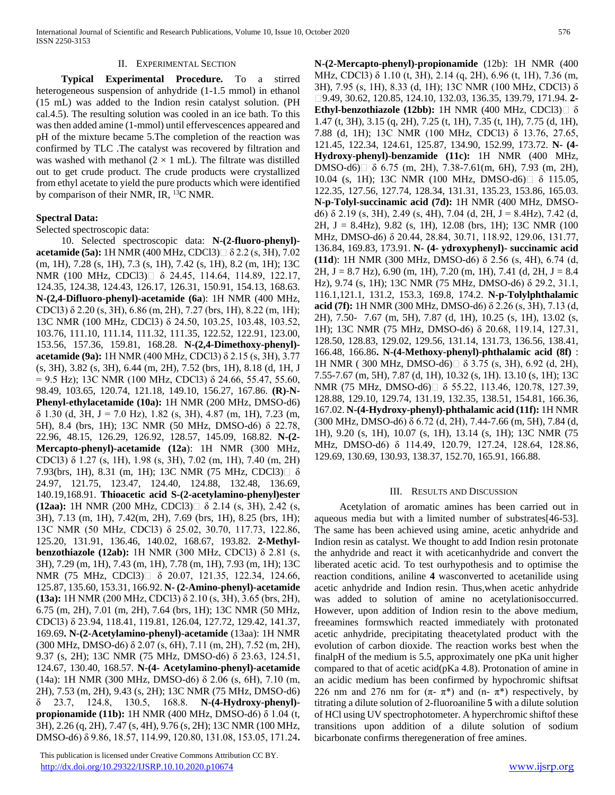#### II. EXPERIMENTAL SECTION

 **Typical Experimental Procedure.** To a stirred heterogeneous suspension of anhydride  $(1-1.5 \text{ mmol})$  in ethanol (15 mL) was added to the Indion resin catalyst solution. (PH cal.4.5). The resulting solution was cooled in an ice bath. To this was then added amine (1-mmol) until effervescences appeared and pH of the mixture became 5.The completion of the reaction was confirmed by TLC .The catalyst was recovered by filtration and was washed with methanol  $(2 \times 1$  mL). The filtrate was distilled out to get crude product. The crude products were crystallized from ethyl acetate to yield the pure products which were identified by comparison of their NMR, IR, <sup>13</sup>C NMR.

#### **Spectral Data:**

Selected spectroscopic data:

 10. Selected spectroscopic data: **N-(2-fluoro-phenyl) acetamide (5a):** 1H NMR (400 MHz, CDCl3) $\Box$  δ 2.2 (s, 3H), 7.02 (m, 1H), 7.28 (s, 1H), 7.3 (s, 1H), 7.42 (s, 1H), 8.2 (m, 1H); 13C NMR (100 MHz, CDCl3)□ δ 24.45, 114.64, 114.89, 122.17, 124.35, 124.38, 124.43, 126.17, 126.31, 150.91, 154.13, 168.63. **N-(2,4-Difluoro-phenyl)-acetamide (6a**): 1H NMR (400 MHz, CDCl3) δ 2.20 (s, 3H), 6.86 (m, 2H), 7.27 (brs, 1H), 8.22 (m, 1H); 13C NMR (100 MHz, CDCl3) δ 24.50, 103.25, 103.48, 103.52, 103.76, 111.10, 111.14, 111.32, 111.35, 122.52, 122.91, 123.00, 153.56, 157.36, 159.81, 168.28. **N-(2,4-Dimethoxy-phenyl) acetamide (9a):** 1H NMR (400 MHz, CDCl3) δ 2.15 (s, 3H), 3.77 (s, 3H), 3.82 (s, 3H), 6.44 (m, 2H), 7.52 (brs, 1H), 8.18 (d, 1H, J  $= 9.5$  Hz); 13C NMR (100 MHz, CDCl3)  $\delta$  24.66, 55.47, 55.60, 98.49, 103.65, 120.74, 121.18, 149.10, 156.27, 167.86. **(R)-N-Phenyl-ethylacetamide (10a):** 1H NMR (200 MHz, DMSO-d6) δ 1.30 (d, 3H, J = 7.0 Hz), 1.82 (s, 3H), 4.87 (m, 1H), 7.23 (m, 5H), 8.4 (brs, 1H); 13C NMR (50 MHz, DMSO-d6) δ 22.78, 22.96, 48.15, 126.29, 126.92, 128.57, 145.09, 168.82. **N-(2- Mercapto-phenyl)-acetamide (12a**): 1H NMR (300 MHz, CDCl3) δ 1.27 (s, 1H), 1.98 (s, 3H), 7.02 (m, 1H), 7.40 (m, 2H) 7.93(brs, 1H), 8.31 (m, 1H); 13C NMR (75 MHz, CDCl3) $\Box$  δ 24.97, 121.75, 123.47, 124.40, 124.88, 132.48, 136.69, 140.19,168.91. **Thioacetic acid S-(2-acetylamino-phenyl)ester (12aa):** 1H NMR (200 MHz, CDCl3) δ 2.14 (s, 3H), 2.42 (s, 3H), 7.13 (m, 1H), 7.42(m, 2H), 7.69 (brs, 1H), 8.25 (brs, 1H); 13C NMR (50 MHz, CDCl3) δ 25.02, 30.70, 117.73, 122.86, 125.20, 131.91, 136.46, 140.02, 168.67, 193.82. **2-Methylbenzothiazole (12ab):** 1H NMR (300 MHz, CDCl3) δ 2.81 (s, 3H), 7.29 (m, 1H), 7.43 (m, 1H), 7.78 (m, 1H), 7.93 (m, 1H); 13C NMR (75 MHz, CDCl3)□ δ 20.07, 121.35, 122.34, 124.66, 125.87, 135.60, 153.31, 166.92. **N- (2-Amino-phenyl)-acetamide (13a):** 1H NMR (200 MHz, CDCl3) δ 2.10 (s, 3H), 3.65 (brs, 2H), 6.75 (m, 2H), 7.01 (m, 2H), 7.64 (brs, 1H); 13C NMR (50 MHz, CDCl3) δ 23.94, 118.41, 119.81, 126.04, 127.72, 129.42, 141.37, 169.69**. N-(2-Acetylamino-phenyl)-acetamide** (13aa): 1H NMR (300 MHz, DMSO-d6) δ 2.07 (s, 6H), 7.11 (m, 2H), 7.52 (m, 2H), 9.37 (s, 2H); 13C NMR (75 MHz, DMSO-d6) δ 23.63, 124.51, 124.67, 130.40, 168.57. **N-(4- Acetylamino-phenyl)-acetamide** (14a): 1H NMR (300 MHz, DMSO-d6) δ 2.06 (s, 6H), 7.10 (m, 2H), 7.53 (m, 2H), 9.43 (s, 2H); 13C NMR (75 MHz, DMSO-d6) δ 23.7, 124.8, 130.5, 168.8. **N-(4-Hydroxy-phenyl) propionamide (11b):** 1H NMR (400 MHz, DMSO-d6) δ 1.04 (t, 3H), 2.26 (q, 2H), 7.47 (s, 4H), 9.76 (s, 2H); 13C NMR (100 MHz, DMSO-d6) δ 9.86, 18.57, 114.99, 120.80, 131.08, 153.05, 171.24**.** 

 This publication is licensed under Creative Commons Attribution CC BY. <http://dx.doi.org/10.29322/IJSRP.10.10.2020.p10674> [www.ijsrp.org](http://ijsrp.org/)

**N-(2-Mercapto-phenyl)-propionamide** (12b): 1H NMR (400 MHz, CDCl3) δ 1.10 (t, 3H), 2.14 (q, 2H), 6.96 (t, 1H), 7.36 (m, 3H), 7.95 (s, 1H), 8.33 (d, 1H); 13C NMR (100 MHz, CDCl3) δ 9.49, 30.62, 120.85, 124.10, 132.03, 136.35, 139.79, 171.94. **2- Ethyl-benzothiazole (12bb):** 1H NMR (400 MHz, CDCl3) δ 1.47 (t, 3H), 3.15 (q, 2H), 7.25 (t, 1H), 7.35 (t, 1H), 7.75 (d, 1H), 7.88 (d, 1H); 13C NMR (100 MHz, CDCl3) δ 13.76, 27.65, 121.45, 122.34, 124.61, 125.87, 134.90, 152.99, 173.72. **N- (4- Hydroxy-phenyl)-benzamide (11c):** 1H NMR (400 MHz, DMSO-d6) $\Box$  δ 6.75 (m, 2H), 7.38-7.61(m, 6H), 7.93 (m, 2H), 10.04 (s, 1H); 13C NMR (100 MHz, DMSO-d6) δ 115.05, 122.35, 127.56, 127.74, 128.34, 131.31, 135.23, 153.86, 165.03. **N-p-Tolyl-succinamic acid (7d):** 1H NMR (400 MHz, DMSOd6)  $\delta$  2.19 (s, 3H), 2.49 (s, 4H), 7.04 (d, 2H, J = 8.4Hz), 7.42 (d, 2H, J = 8.4Hz), 9.82 (s, 1H), 12.08 (brs, 1H); 13C NMR (100 MHz, DMSO-d6) δ 20.44, 28.84, 30.71, 118.92, 129.06, 131.77, 136.84, 169.83, 173.91. **N- (4- ydroxyphenyl)- succinamic acid (11d**): 1H NMR (300 MHz, DMSO-d6) δ 2.56 (s, 4H), 6.74 (d, 2H, J = 8.7 Hz), 6.90 (m, 1H), 7.20 (m, 1H), 7.41 (d, 2H, J = 8.4 Hz), 9.74 (s, 1H); 13C NMR (75 MHz, DMSO-d6) δ 29.2, 31.1, 116.1,121.1, 131.2, 153.3, 169.8, 174.2. **N-p-Tolylphthalamic acid (7f):** 1H NMR (300 MHz, DMSO-d6) δ 2.26 (s, 3H), 7.13 (d, 2H), 7.50- 7.67 (m, 5H), 7.87 (d, 1H), 10.25 (s, 1H), 13.02 (s, 1H); 13C NMR (75 MHz, DMSO-d6) δ 20.68, 119.14, 127.31, 128.50, 128.83, 129.02, 129.56, 131.14, 131.73, 136.56, 138.41, 166.48, 166.86**. N-(4-Methoxy-phenyl)-phthalamic acid (8f)** : 1H NMR (300 MHz, DMSO-d6)□ δ 3.75 (s, 3H), 6.92 (d, 2H), 7.55-7.67 (m, 5H), 7.87 (d, 1H), 10.32 (s, 1H). 13.10 (s, 1H); 13C NMR (75 MHz, DMSO-d6)□ δ 55.22, 113.46, 120.78, 127.39, 128.88, 129.10, 129.74, 131.19, 132.35, 138.51, 154.81, 166.36, 167.02. **N-(4-Hydroxy-phenyl)-phthalamic acid (11f):** 1H NMR (300 MHz, DMSO-d6) δ 6.72 (d, 2H), 7.44-7.66 (m, 5H), 7.84 (d, 1H), 9.20 (s, 1H), 10.07 (s, 1H), 13.14 (s, 1H); 13C NMR (75 MHz, DMSO-d6) δ 114.49, 120.79, 127.24, 128.64, 128.86, 129.69, 130.69, 130.93, 138.37, 152.70, 165.91, 166.88.

#### III. RESULTS AND DISCUSSION

 Acetylation of aromatic amines has been carried out in aqueous media but with a limited number of substrates[46-53]. The same has been achieved using amine, acetic anhydride and Indion resin as catalyst. We thought to add Indion resin protonate the anhydride and react it with aceticanhydride and convert the liberated acetic acid. To test ourhypothesis and to optimise the reaction conditions, aniline **4** wasconverted to acetanilide using acetic anhydride and Indion resin. Thus,when acetic anhydride was added to solution of amine no acetylationisoccurred. However, upon addition of Indion resin to the above medium, freeamines formswhich reacted immediately with protonated acetic anhydride, precipitating theacetylated product with the evolution of carbon dioxide. The reaction works best when the finalpH of the medium is 5.5, approximately one pKa unit higher compared to that of acetic acid(pKa 4.8). Protonation of amine in an acidic medium has been confirmed by hypochromic shiftsat 226 nm and 276 nm for  $(\pi - \pi^*)$  and  $(n - \pi^*)$  respectively, by titrating a dilute solution of 2-fluoroaniline **5** with a dilute solution of HCl using UV spectrophotometer. A hyperchromic shiftof these transitions upon addition of a dilute solution of sodium bicarbonate confirms theregeneration of free amines.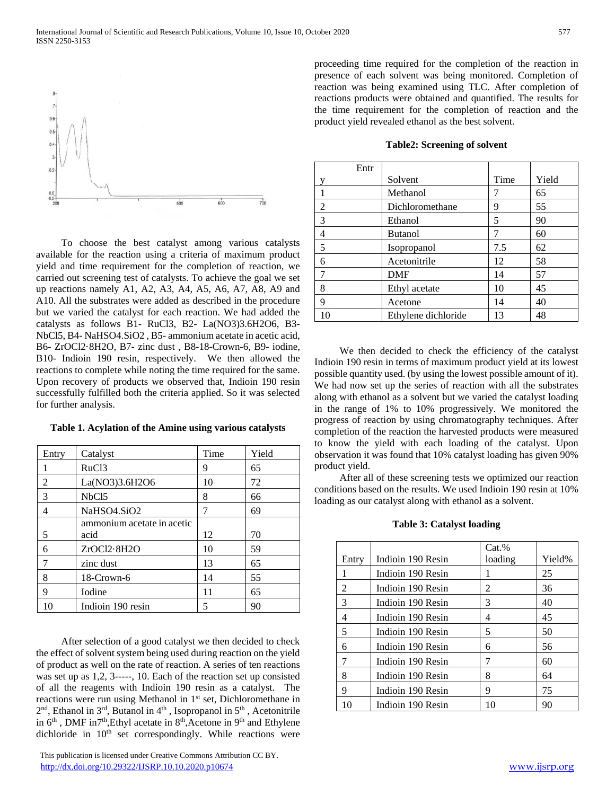

 To choose the best catalyst among various catalysts available for the reaction using a criteria of maximum product yield and time requirement for the completion of reaction, we carried out screening test of catalysts. To achieve the goal we set up reactions namely A1, A2, A3, A4, A5, A6, A7, A8, A9 and A10. All the substrates were added as described in the procedure but we varied the catalyst for each reaction. We had added the catalysts as follows B1- RuCl3, B2- La(NO3)3.6H2O6, B3- NbCl5, B4- NaHSO4.SiO2 , B5- ammonium acetate in acetic acid, B6- ZrOCl2·8H2O, B7- zinc dust , B8-18-Crown-6, B9- iodine, B10- Indioin 190 resin, respectively. We then allowed the reactions to complete while noting the time required for the same. Upon recovery of products we observed that, Indioin 190 resin successfully fulfilled both the criteria applied. So it was selected for further analysis.

| Entry          | Catalyst                   | Time | Yield |
|----------------|----------------------------|------|-------|
|                | RuC <sub>13</sub>          | 9    | 65    |
| $\overline{2}$ | La(NO3)3.6H2O6             | 10   | 72    |
| 3              | NbC <sub>15</sub>          | 8    | 66    |
| 4              | NaHSO4.SiO2                | 7    | 69    |
|                | ammonium acetate in acetic |      |       |
| 5              | acid                       | 12   | 70    |
| 6              | ZrOCl2·8H2O                | 10   | 59    |
| 7              | zinc dust                  | 13   | 65    |
| 8              | 18-Crown-6                 | 14   | 55    |
| 9              | Iodine                     | 11   | 65    |
| 10             | Indioin 190 resin          | 5    | 90    |

#### **Table 1. Acylation of the Amine using various catalysts**

 After selection of a good catalyst we then decided to check the effect of solvent system being used during reaction on the yield of product as well on the rate of reaction. A series of ten reactions was set up as 1,2, 3-----, 10. Each of the reaction set up consisted of all the reagents with Indioin 190 resin as a catalyst. The reactions were run using Methanol in 1<sup>st</sup> set, Dichloromethane in  $2<sup>nd</sup>$ , Ethanol in  $3<sup>rd</sup>$ , Butanol in  $4<sup>th</sup>$ , Isopropanol in  $5<sup>th</sup>$ , Acetonitrile in 6<sup>th</sup>, DMF in7<sup>th</sup>,Ethyl acetate in 8<sup>th</sup>,Acetone in 9<sup>th</sup> and Ethylene dichloride in  $10<sup>th</sup>$  set correspondingly. While reactions were

 This publication is licensed under Creative Commons Attribution CC BY. <http://dx.doi.org/10.29322/IJSRP.10.10.2020.p10674> [www.ijsrp.org](http://ijsrp.org/)

proceeding time required for the completion of the reaction in presence of each solvent was being monitored. Completion of reaction was being examined using TLC. After completion of reactions products were obtained and quantified. The results for the time requirement for the completion of reaction and the product yield revealed ethanol as the best solvent.

| Entr |                     |      |       |
|------|---------------------|------|-------|
| v    | Solvent             | Time | Yield |
|      | Methanol            | 7    | 65    |
| 2    | Dichloromethane     | 9    | 55    |
| 3    | Ethanol             | 5    | 90    |
| 4    | <b>Butanol</b>      | 7    | 60    |
| 5    | Isopropanol         | 7.5  | 62    |
| 6    | Acetonitrile        | 12   | 58    |
| 7    | <b>DMF</b>          | 14   | 57    |
| 8    | Ethyl acetate       | 10   | 45    |
| 9    | Acetone             | 14   | 40    |
| 10   | Ethylene dichloride | 13   | 48    |

#### **Table2: Screening of solvent**

 We then decided to check the efficiency of the catalyst Indioin 190 resin in terms of maximum product yield at its lowest possible quantity used. (by using the lowest possible amount of it). We had now set up the series of reaction with all the substrates along with ethanol as a solvent but we varied the catalyst loading in the range of 1% to 10% progressively. We monitored the progress of reaction by using chromatography techniques. After completion of the reaction the harvested products were measured to know the yield with each loading of the catalyst. Upon observation it was found that 10% catalyst loading has given 90% product yield.

 After all of these screening tests we optimized our reaction conditions based on the results. We used Indioin 190 resin at 10% loading as our catalyst along with ethanol as a solvent.

#### **Table 3: Catalyst loading**

|       |                   | $Cat.$ % |        |
|-------|-------------------|----------|--------|
| Entry | Indioin 190 Resin | loading  | Yield% |
|       | Indioin 190 Resin | 1        | 25     |
| 2     | Indioin 190 Resin | 2        | 36     |
| 3     | Indioin 190 Resin | 3        | 40     |
| 4     | Indioin 190 Resin | 4        | 45     |
| 5     | Indioin 190 Resin | 5        | 50     |
| 6     | Indioin 190 Resin | 6        | 56     |
| 7     | Indioin 190 Resin | 7        | 60     |
| 8     | Indioin 190 Resin | 8        | 64     |
| 9     | Indioin 190 Resin | 9        | 75     |
| 10    | Indioin 190 Resin | 10       | 90     |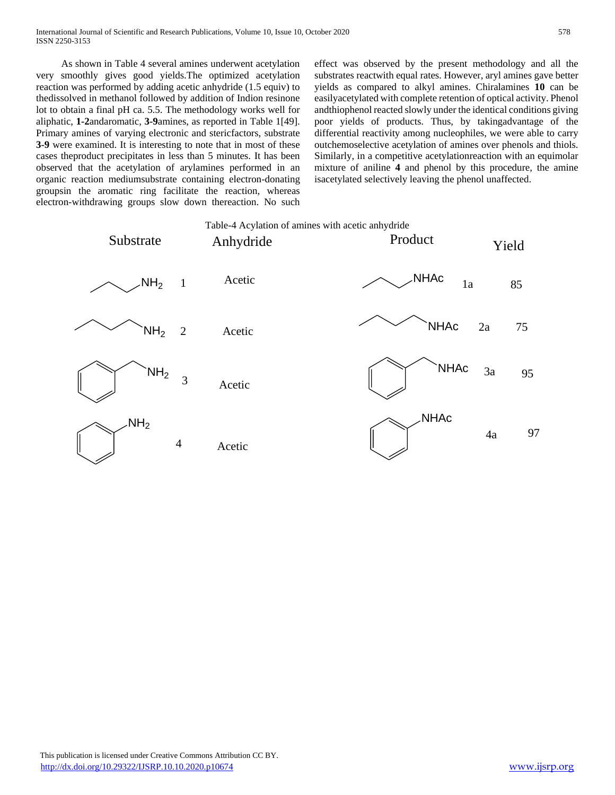As shown in Table 4 several amines underwent acetylation very smoothly gives good yields.The optimized acetylation reaction was performed by adding acetic anhydride (1.5 equiv) to thedissolved in methanol followed by addition of Indion resinone lot to obtain a final pH ca. 5.5. The methodology works well for aliphatic, **1-2**andaromatic, **3-9**amines, as reported in Table 1[49]. Primary amines of varying electronic and stericfactors, substrate **3-9** were examined. It is interesting to note that in most of these cases theproduct precipitates in less than 5 minutes. It has been observed that the acetylation of arylamines performed in an organic reaction mediumsubstrate containing electron-donating groupsin the aromatic ring facilitate the reaction, whereas electron-withdrawing groups slow down thereaction. No such effect was observed by the present methodology and all the substrates reactwith equal rates. However, aryl amines gave better yields as compared to alkyl amines. Chiralamines **10** can be easilyacetylated with complete retention of optical activity. Phenol andthiophenol reacted slowly under the identical conditions giving poor yields of products. Thus, by takingadvantage of the differential reactivity among nucleophiles, we were able to carry outchemoselective acetylation of amines over phenols and thiols. Similarly, in a competitive acetylationreaction with an equimolar mixture of aniline **4** and phenol by this procedure, the amine isacetylated selectively leaving the phenol unaffected.

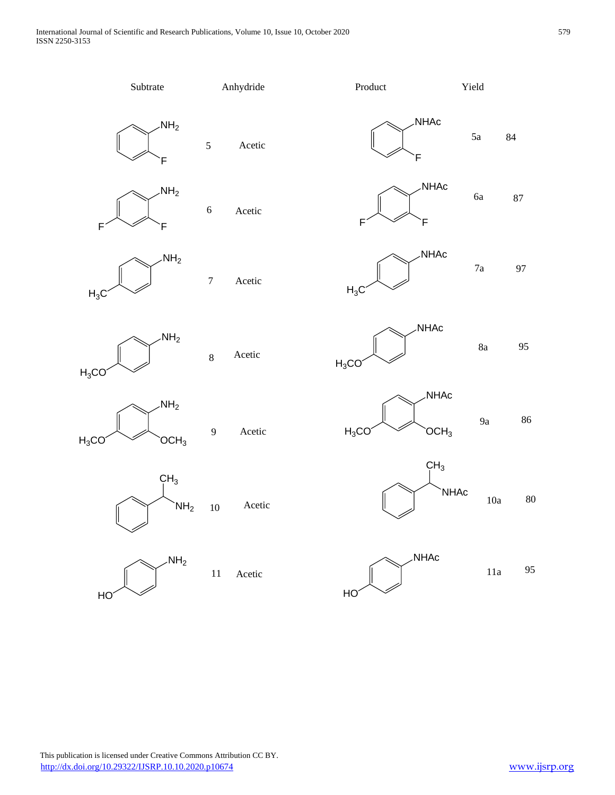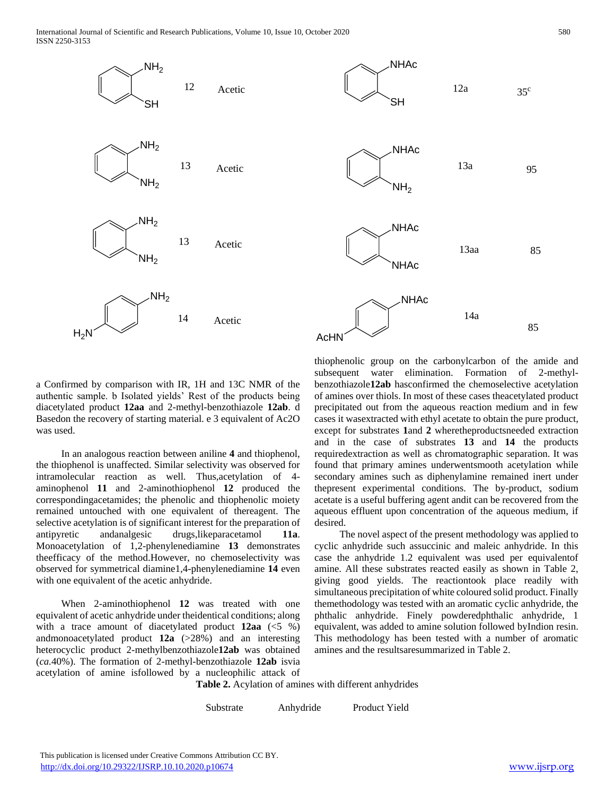

a Confirmed by comparison with IR, 1H and 13C NMR of the authentic sample. b Isolated yields' Rest of the products being diacetylated product **12aa** and 2-methyl-benzothiazole **12ab**. d Basedon the recovery of starting material. e 3 equivalent of Ac2O was used.

 In an analogous reaction between aniline **4** and thiophenol, the thiophenol is unaffected. Similar selectivity was observed for intramolecular reaction as well. Thus,acetylation of 4 aminophenol **11** and 2-aminothiophenol **12** produced the correspondingacetamides; the phenolic and thiophenolic moiety remained untouched with one equivalent of thereagent. The selective acetylation is of significant interest for the preparation of antipyretic andanalgesic drugs,likeparacetamol **11a**. Monoacetylation of 1,2-phenylenediamine **13** demonstrates theefficacy of the method.However, no chemoselectivity was observed for symmetrical diamine1,4-phenylenediamine **14** even with one equivalent of the acetic anhydride.

 When 2-aminothiophenol **12** was treated with one equivalent of acetic anhydride under theidentical conditions; along with a trace amount of diacetylated product **12aa** (<5 %) andmonoacetylated product **12a** (>28%) and an interesting heterocyclic product 2-methylbenzothiazole**12ab** was obtained (*ca.*40%). The formation of 2-methyl-benzothiazole **12ab** isvia acetylation of amine isfollowed by a nucleophilic attack of thiophenolic group on the carbonylcarbon of the amide and subsequent water elimination. Formation of 2-methylbenzothiazole**12ab** hasconfirmed the chemoselective acetylation of amines over thiols. In most of these cases theacetylated product precipitated out from the aqueous reaction medium and in few cases it wasextracted with ethyl acetate to obtain the pure product, except for substrates **1**and **2** wheretheproductsneeded extraction and in the case of substrates **13** and **14** the products requiredextraction as well as chromatographic separation. It was found that primary amines underwentsmooth acetylation while secondary amines such as diphenylamine remained inert under thepresent experimental conditions. The by-product, sodium acetate is a useful buffering agent andit can be recovered from the aqueous effluent upon concentration of the aqueous medium, if desired.

 The novel aspect of the present methodology was applied to cyclic anhydride such assuccinic and maleic anhydride. In this case the anhydride 1.2 equivalent was used per equivalentof amine. All these substrates reacted easily as shown in Table 2, giving good yields. The reactiontook place readily with simultaneous precipitation of white coloured solid product. Finally themethodology was tested with an aromatic cyclic anhydride, the phthalic anhydride. Finely powderedphthalic anhydride, 1 equivalent, was added to amine solution followed byIndion resin. This methodology has been tested with a number of aromatic amines and the resultsaresummarized in Table 2.

**Table 2.** Acylation of amines with different anhydrides

Substrate Anhydride Product Yield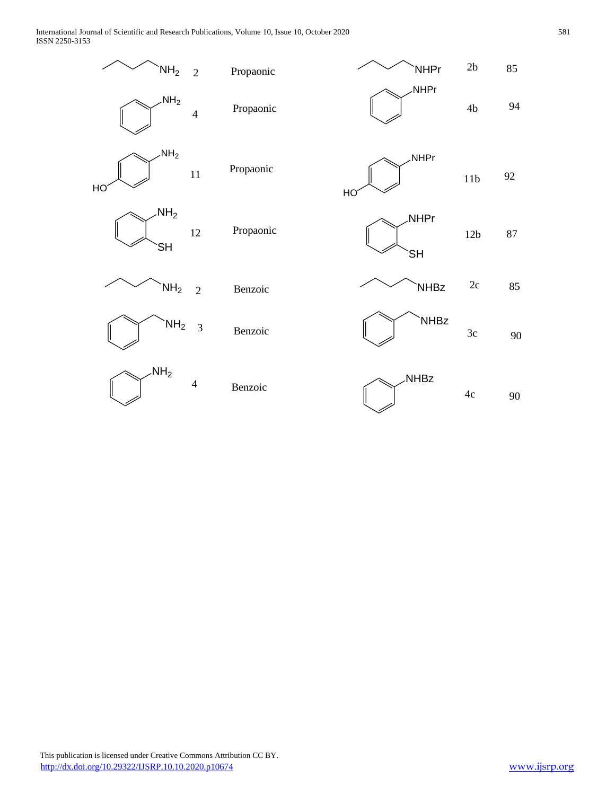International Journal of Scientific and Research Publications, Volume 10, Issue 10, October 2020 581 ISSN 2250-3153

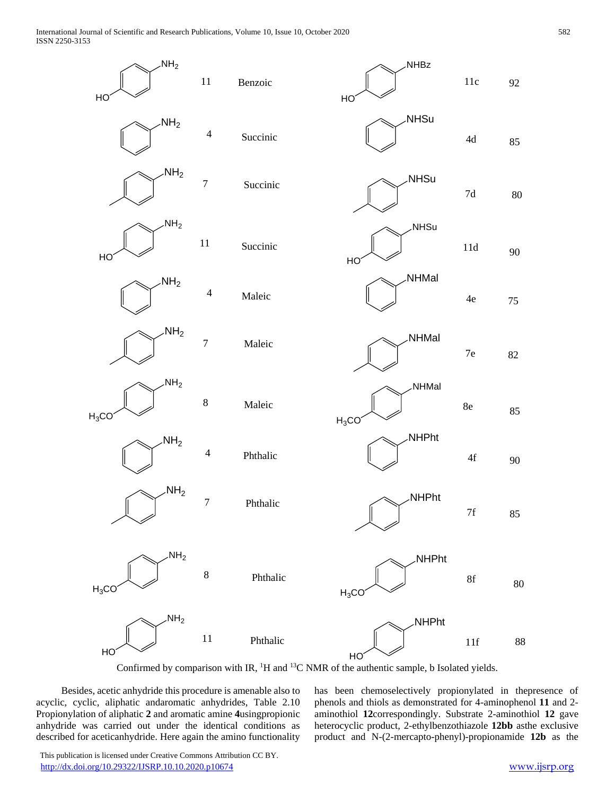International Journal of Scientific and Research Publications, Volume 10, Issue 10, October 2020 582 ISSN 2250-3153



Confirmed by comparison with IR,  ${}^{1}H$  and  ${}^{13}C$  NMR of the authentic sample, b Isolated yields.

 Besides, acetic anhydride this procedure is amenable also to acyclic, cyclic, aliphatic andaromatic anhydrides, Table 2.10 Propionylation of aliphatic **2** and aromatic amine **4**usingpropionic anhydride was carried out under the identical conditions as described for aceticanhydride. Here again the amino functionality

has been chemoselectively propionylated in thepresence of phenols and thiols as demonstrated for 4-aminophenol **11** and 2 aminothiol **12**correspondingly. Substrate 2-aminothiol **12** gave heterocyclic product, 2-ethylbenzothiazole **12bb** asthe exclusive product and N-(2-mercapto-phenyl)-propionamide **12b** as the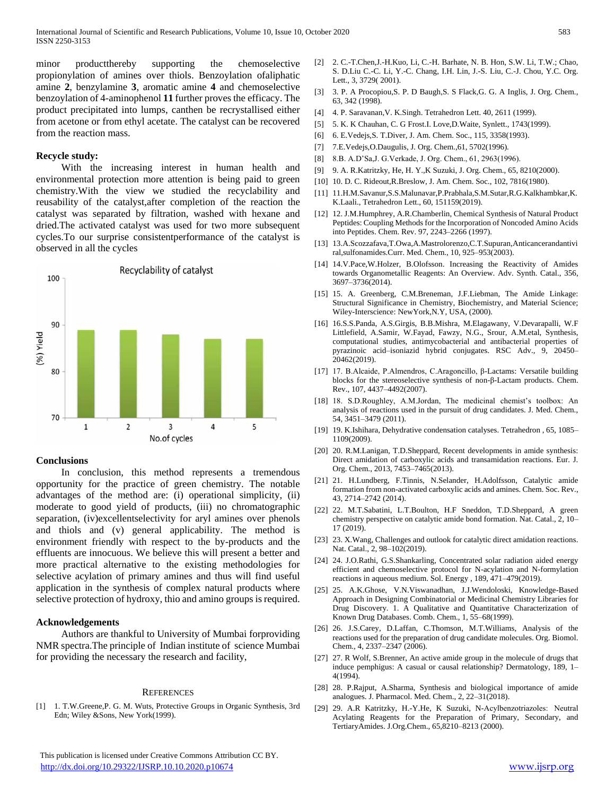minor productthereby supporting the chemoselective propionylation of amines over thiols. Benzoylation ofaliphatic amine **2**, benzylamine **3**, aromatic amine **4** and chemoselective benzoylation of 4-aminophenol **11** further proves the efficacy. The product precipitated into lumps, canthen be recrystallised either from acetone or from ethyl acetate. The catalyst can be recovered from the reaction mass.

# **Recycle study:**

 With the increasing interest in human health and environmental protection more attention is being paid to green chemistry.With the view we studied the recyclability and reusability of the catalyst,after completion of the reaction the catalyst was separated by filtration, washed with hexane and dried.The activated catalyst was used for two more subsequent cycles.To our surprise consistentperformance of the catalyst is observed in all the cycles



# **Conclusions**

 In conclusion, this method represents a tremendous opportunity for the practice of green chemistry. The notable advantages of the method are: (i) operational simplicity, (ii) moderate to good yield of products, (iii) no chromatographic separation, (iv)excellentselectivity for aryl amines over phenols and thiols and (v) general applicability. The method is environment friendly with respect to the by-products and the effluents are innocuous. We believe this will present a better and more practical alternative to the existing methodologies for selective acylation of primary amines and thus will find useful application in the synthesis of complex natural products where selective protection of hydroxy, thio and amino groups is required.

# **Acknowledgements**

 Authors are thankful to University of Mumbai forproviding NMR spectra.The principle of Indian institute of science Mumbai for providing the necessary the research and facility,

# **REFERENCES**

[1] 1. T.W.Greene,P. G. M. Wuts, Protective Groups in Organic Synthesis, 3rd Edn; Wiley &Sons, New York(1999).

[2] 2. C.-T.Chen,J.-H.Kuo, Li, C.-H. Barhate, N. B. Hon, S.W. Li, T.W.; Chao, S. D.Liu C.-C. Li, Y.-C. Chang, I.H. Lin, J.-S. Liu, C.-J. Chou, Y.C. Org. Lett., 3, 3729( 2001).

- [3] 3. P. A Procopiou,S. P. D Baugh,S. S Flack,G. G. A Inglis, J. Org. Chem., 63, 342 (1998).
- [4] 4. P. Saravanan,V. K.Singh. Tetrahedron Lett. 40, 2611 (1999).
- [5] 5. K. K Chauhan, C. G Frost.I. Love,D.Waite, Synlett., 1743(1999).
- [6] 6. E.Vedejs,S. T.Diver, J. Am. Chem. Soc., 115, 3358(1993).
- [7] 7.E.Vedejs,O.Daugulis, J. Org. Chem.,61, 5702(1996).
- [8] 8.B. A.D'Sa,J. G.Verkade, J. Org. Chem., 61, 2963(1996).
- [9] 9. A. R.Katritzky, He, H. Y.,K Suzuki, J. Org. Chem., 65, 8210(2000).
- [10] 10. D. C. Rideout,R.Breslow, J. Am. Chem. Soc., 102, 7816(1980).
- [11] 11.H.M.Savanur,S.S.Malunavar,P.Prabhala,S.M.Sutar,R.G.Kalkhambkar,K. K.Laali., Tetrahedron Lett., 60, 151159(2019).
- [12] 12. J.M.Humphrey, A.R.Chamberlin, Chemical Synthesis of Natural Product Peptides: Coupling Methods for the Incorporation of Noncoded Amino Acids into Peptides. Chem. Rev. 97, 2243–2266 (1997).
- [13] 13.A.Scozzafava,T.Owa,A.Mastrolorenzo,C.T.Supuran,Anticancerandantivi ral,sulfonamides.Curr. Med. Chem., 10, 925–953(2003).
- [14] 14.V.Pace,W.Holzer, B.Olofsson. Increasing the Reactivity of Amides towards Organometallic Reagents: An Overview. Adv. Synth. Catal., 356, 3697–3736(2014).
- [15] 15. A. Greenberg, C.M.Breneman, J.F.Liebman, The Amide Linkage: Structural Significance in Chemistry, Biochemistry, and Material Science; Wiley-Interscience: NewYork,N.Y, USA, (2000).
- [16] 16.S.S.Panda, A.S.Girgis, B.B.Mishra, M.Elagawany, V.Devarapalli, W.F Littlefield, A.Samir, W.Fayad, Fawzy, N.G., Srour, A.M.etal, Synthesis, computational studies, antimycobacterial and antibacterial properties of pyrazinoic acid–isoniazid hybrid conjugates. RSC Adv., 9, 20450– 20462(2019).
- [17] 17. B.Alcaide, P.Almendros, C.Aragoncillo, β-Lactams: Versatile building blocks for the stereoselective synthesis of non-β-Lactam products. Chem. Rev., 107, 4437–4492(2007).
- [18] 18. S.D.Roughley, A.M.Jordan, The medicinal chemist's toolbox: An analysis of reactions used in the pursuit of drug candidates. J. Med. Chem., 54, 3451–3479 (2011).
- [19] 19. K.Ishihara, Dehydrative condensation catalyses. Tetrahedron , 65, 1085– 1109(2009).
- [20] 20. R.M.Lanigan, T.D.Sheppard, Recent developments in amide synthesis: Direct amidation of carboxylic acids and transamidation reactions. Eur. J. Org. Chem., 2013, 7453–7465(2013).
- [21] 21. H.Lundberg, F.Tinnis, N.Selander, H.Adolfsson, Catalytic amide formation from non-activated carboxylic acids and amines. Chem. Soc. Rev., 43, 2714–2742 (2014).
- [22] 22. M.T.Sabatini, L.T.Boulton, H.F Sneddon, T.D.Sheppard, A green chemistry perspective on catalytic amide bond formation. Nat. Catal., 2, 10– 17 (2019).
- [23] 23. X. Wang, Challenges and outlook for catalytic direct amidation reactions. Nat. Catal., 2, 98–102(2019).
- [24] 24. J.O.Rathi, G.S.Shankarling, Concentrated solar radiation aided energy efficient and chemoselective protocol for N-acylation and N-formylation reactions in aqueous medium. Sol. Energy , 189, 471–479(2019).
- [25] 25. A.K.Ghose, V.N.Viswanadhan, J.J.Wendoloski, Knowledge-Based Approach in Designing Combinatorial or Medicinal Chemistry Libraries for Drug Discovery. 1. A Qualitative and Quantitative Characterization of Known Drug Databases. Comb. Chem., 1, 55–68(1999).
- [26] 26. J.S.Carey, D.Laffan, C.Thomson, M.T.Williams, Analysis of the reactions used for the preparation of drug candidate molecules. Org. Biomol. Chem., 4, 2337–2347 (2006).
- [27] 27. R Wolf, S.Brenner, An active amide group in the molecule of drugs that induce pemphigus: A casual or causal relationship? Dermatology, 189, 1– 4(1994).
- [28] 28. P.Rajput, A.Sharma, Synthesis and biological importance of amide analogues. J. Pharmacol. Med. Chem., 2, 22–31(2018).
- [29] 29. A.R Katritzky, H.-Y.He, K Suzuki, N-Acylbenzotriazoles:  Neutral Acylating Reagents for the Preparation of Primary, Secondary, and TertiaryAmides. J.Org.Chem., 65,8210–8213 (2000).